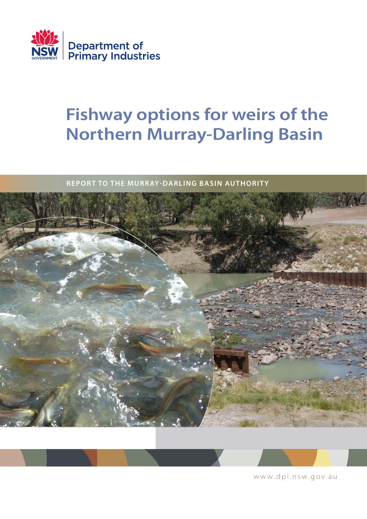

# **Fishway options for weirs of the Northern Murray-Darling Basin**

**REPORT TO THE MURRAY-DARLING BASIN AUTHORITY** 





www.dpi.nsw.gov.au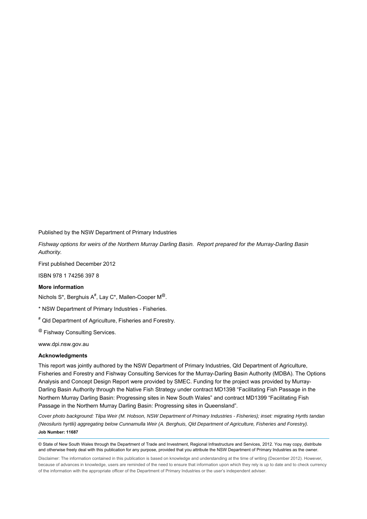Published by the NSW Department of Primary Industries

*Fishway options for weirs of the Northern Murray Darling Basin. Report prepared for the Murray-Darling Basin Authority.* 

First published December 2012

ISBN 978 1 74256 397 8

#### **More information**

Nichols S\*, Berghuis A $^{\#}$ , Lay C\*, Mallen-Cooper M $^{\circledR}$ .

\* NSW Department of Primary Industries - Fisheries.

# Qld Department of Agriculture, Fisheries and Forestry.

@ Fishway Consulting Services.

www.dpi.nsw.gov.au

#### **Acknowledgments**

This report was jointly authored by the NSW Department of Primary Industries, Qld Department of Agriculture, Fisheries and Forestry and Fishway Consulting Services for the Murray-Darling Basin Authority (MDBA). The Options Analysis and Concept Design Report were provided by SMEC. Funding for the project was provided by Murray-Darling Basin Authority through the Native Fish Strategy under contract MD1398 "Facilitating Fish Passage in the Northern Murray Darling Basin: Progressing sites in New South Wales" and contract MD1399 "Facilitating Fish Passage in the Northern Murray Darling Basin: Progressing sites in Queensland".

*Cover photo background: Tilpa Weir (M. Hobson, NSW Department of Primary Industries - Fisheries); inset: migrating Hyrtls tandan (Neosiluris hyrtlii) aggregating below Cunnamulla Weir (A. Berghuis, Qld Department of Agriculture, Fisheries and Forestry).*  **Job Number: 11687**

© State of New South Wales through the Department of Trade and Investment, Regional Infrastructure and Services, 2012. You may copy, distribute and otherwise freely deal with this publication for any purpose, provided that you attribute the NSW Department of Primary Industries as the owner

Disclaimer: The information contained in this publication is based on knowledge and understanding at the time of writing (December 2012). However, because of advances in knowledge, users are reminded of the need to ensure that information upon which they rely is up to date and to check currency of the information with the appropriate officer of the Department of Primary Industries or the user's independent adviser.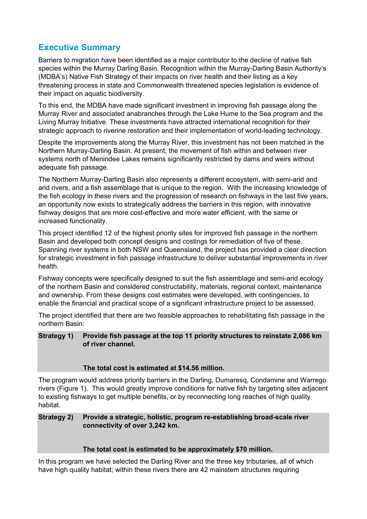# <span id="page-2-0"></span>**Executive Summary**

Barriers to migration have been identified as a major contributor to the decline of native fish species within the Murray Darling Basin. Recognition within the Murray-Darling Basin Authority's (MDBA's) Native Fish Strategy of their impacts on river health and their listing as a key threatening process in state and Commonwealth threatened species legislation is evidence of their impact on aquatic biodiversity.

To this end, the MDBA have made significant investment in improving fish passage along the Murray River and associated anabranches through the Lake Hume to the Sea program and the Living Murray Initiative. These investments have attracted international recognition for their strategic approach to riverine restoration and their implementation of world-leading technology.

Despite the improvements along the Murray River, this investment has not been matched in the Northern Murray-Darling Basin. At present, the movement of fish within and between river systems north of Menindee Lakes remains significantly restricted by dams and weirs without adequate fish passage.

The Northern Murray-Darling Basin also represents a different ecosystem, with semi-arid and arid rivers, and a fish assemblage that is unique to the region. With the increasing knowledge of the fish ecology in these rivers and the progression of research on fishways in the last five years, an opportunity now exists to strategically address the barriers in this region, with innovative fishway designs that are more cost-effective and more water efficient, with the same or increased functionality.

This project identified 12 of the highest priority sites for improved fish passage in the northern Basin and developed both concept designs and costings for remediation of five of these. Spanning river systems in both NSW and Queensland, the project has provided a clear direction for strategic investment in fish passage infrastructure to deliver substantial improvements in river health.

Fishway concepts were specifically designed to suit the fish assemblage and semi-arid ecology of the northern Basin and considered constructability, materials, regional context, maintenance and ownership. From these designs cost estimates were developed, with contingencies, to enable the financial and practical scope of a significant infrastructure project to be assessed.

The project identified that there are two feasible approaches to rehabilitating fish passage in the northern Basin:

#### **Strategy 1) Provide fish passage at the top 11 priority structures to reinstate 2,086 km of river channel.**

#### **The total cost is estimated at \$14.56 million.**

The program would address priority barriers in the Darling, Dumaresq, Condamine and Warrego rivers (Figure 1). This would greatly improve conditions for native fish by targeting sites adjacent to existing fishways to get multiple benefits, or by reconnecting long reaches of high quality habitat.

#### **Strategy 2) Provide a strategic, holistic, program re-establishing broad-scale river connectivity of over 3,242 km.**

#### **The total cost is estimated to be approximately \$70 million.**

In this program we have selected the Darling River and the three key tributaries, all of which have high quality habitat; within these rivers there are 42 mainstem structures requiring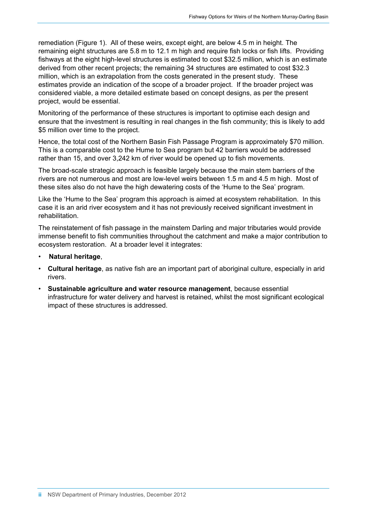remediation (Figure 1). All of these weirs, except eight, are below 4.5 m in height. The remaining eight structures are 5.8 m to 12.1 m high and require fish locks or fish lifts. Providing fishways at the eight high-level structures is estimated to cost \$32.5 million, which is an estimate derived from other recent projects; the remaining 34 structures are estimated to cost \$32.3 million, which is an extrapolation from the costs generated in the present study. These estimates provide an indication of the scope of a broader project. If the broader project was considered viable, a more detailed estimate based on concept designs, as per the present project, would be essential.

Monitoring of the performance of these structures is important to optimise each design and ensure that the investment is resulting in real changes in the fish community; this is likely to add \$5 million over time to the project.

Hence, the total cost of the Northern Basin Fish Passage Program is approximately \$70 million. This is a comparable cost to the Hume to Sea program but 42 barriers would be addressed rather than 15, and over 3,242 km of river would be opened up to fish movements.

The broad-scale strategic approach is feasible largely because the main stem barriers of the rivers are not numerous and most are low-level weirs between 1.5 m and 4.5 m high. Most of these sites also do not have the high dewatering costs of the 'Hume to the Sea' program.

Like the 'Hume to the Sea' program this approach is aimed at ecosystem rehabilitation. In this case it is an arid river ecosystem and it has not previously received significant investment in rehabilitation.

The reinstatement of fish passage in the mainstem Darling and major tributaries would provide immense benefit to fish communities throughout the catchment and make a major contribution to ecosystem restoration. At a broader level it integrates:

- **Natural heritage**,
- **Cultural heritage**, as native fish are an important part of aboriginal culture, especially in arid rivers.
- **Sustainable agriculture and water resource management**, because essential infrastructure for water delivery and harvest is retained, whilst the most significant ecological impact of these structures is addressed.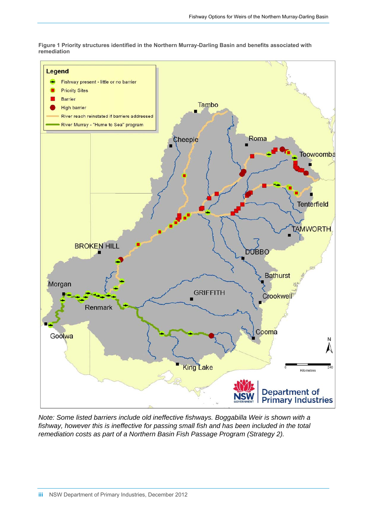**Figure 1 Priority structures identified in the Northern Murray-Darling Basin and benefits associated with remediation** 

<span id="page-4-0"></span>

*Note: Some listed barriers include old ineffective fishways. Boggabilla Weir is shown with a fishway, however this is ineffective for passing small fish and has been included in the total remediation costs as part of a Northern Basin Fish Passage Program (Strategy 2).*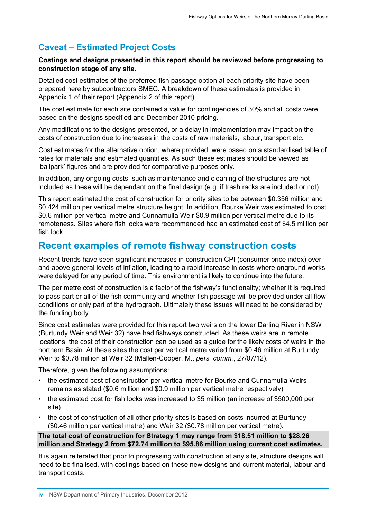# <span id="page-5-0"></span>**Caveat – Estimated Project Costs**

#### **Costings and designs presented in this report should be reviewed before progressing to construction stage of any site.**

Detailed cost estimates of the preferred fish passage option at each priority site have been prepared here by subcontractors SMEC. A breakdown of these estimates is provided in Appendix 1 of their report (Appendix 2 of this report).

The cost estimate for each site contained a value for contingencies of 30% and all costs were based on the designs specified and December 2010 pricing.

Any modifications to the designs presented, or a delay in implementation may impact on the costs of construction due to increases in the costs of raw materials, labour, transport etc.

Cost estimates for the alternative option, where provided, were based on a standardised table of rates for materials and estimated quantities. As such these estimates should be viewed as 'ballpark' figures and are provided for comparative purposes only.

In addition, any ongoing costs, such as maintenance and cleaning of the structures are not included as these will be dependant on the final design (e.g. if trash racks are included or not).

This report estimated the cost of construction for priority sites to be between \$0.356 million and \$0.424 million per vertical metre structure height. In addition, Bourke Weir was estimated to cost \$0.6 million per vertical metre and Cunnamulla Weir \$0.9 million per vertical metre due to its remoteness. Sites where fish locks were recommended had an estimated cost of \$4.5 million per fish lock.

# **Recent examples of remote fishway construction costs**

Recent trends have seen significant increases in construction CPI (consumer price index) over and above general levels of inflation, leading to a rapid increase in costs where onground works were delayed for any period of time. This environment is likely to continue into the future.

The per metre cost of construction is a factor of the fishway's functionality; whether it is required to pass part or all of the fish community and whether fish passage will be provided under all flow conditions or only part of the hydrograph. Ultimately these issues will need to be considered by the funding body.

Since cost estimates were provided for this report two weirs on the lower Darling River in NSW (Burtundy Weir and Weir 32) have had fishways constructed. As these weirs are in remote locations, the cost of their construction can be used as a guide for the likely costs of weirs in the northern Basin. At these sites the cost per vertical metre varied from \$0.46 million at Burtundy Weir to \$0.78 million at Weir 32 (Mallen-Cooper, M., *pers. comm.*, 27/07/12).

Therefore, given the following assumptions:

- the estimated cost of construction per vertical metre for Bourke and Cunnamulla Weirs remains as stated (\$0.6 million and \$0.9 million per vertical metre respectively)
- the estimated cost for fish locks was increased to \$5 million (an increase of \$500,000 per site)
- the cost of construction of all other priority sites is based on costs incurred at Burtundy (\$0.46 million per vertical metre) and Weir 32 (\$0.78 million per vertical metre).

#### **The total cost of construction for Strategy 1 may range from \$18.51 million to \$28.26 million and Strategy 2 from \$72.74 million to \$95.86 million using current cost estimates.**

It is again reiterated that prior to progressing with construction at any site, structure designs will need to be finalised, with costings based on these new designs and current material, labour and transport costs.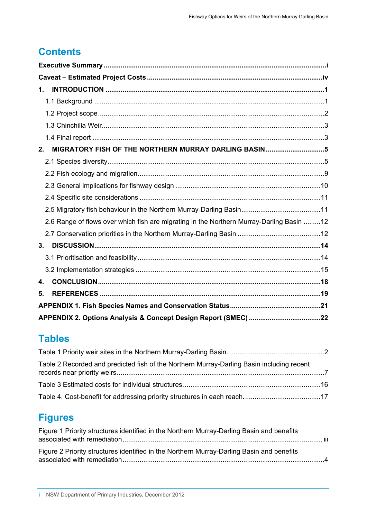# **Contents**

| $\mathbf 1$ .                                                                            |  |
|------------------------------------------------------------------------------------------|--|
|                                                                                          |  |
|                                                                                          |  |
|                                                                                          |  |
|                                                                                          |  |
| MIGRATORY FISH OF THE NORTHERN MURRAY DARLING BASIN 5<br>2.                              |  |
|                                                                                          |  |
|                                                                                          |  |
|                                                                                          |  |
|                                                                                          |  |
|                                                                                          |  |
| 2.6 Range of flows over which fish are migrating in the Northern Murray-Darling Basin 12 |  |
|                                                                                          |  |
| 3.                                                                                       |  |
|                                                                                          |  |
|                                                                                          |  |
| 4.                                                                                       |  |
| 5.                                                                                       |  |
|                                                                                          |  |
|                                                                                          |  |

# **Tables**

| Table 2 Recorded and predicted fish of the Northern Murray-Darling Basin including recent |  |
|-------------------------------------------------------------------------------------------|--|
|                                                                                           |  |
|                                                                                           |  |

# **Figures**

| Figure 1 Priority structures identified in the Northern Murray-Darling Basin and benefits |  |
|-------------------------------------------------------------------------------------------|--|
| Figure 2 Priority structures identified in the Northern Murray-Darling Basin and benefits |  |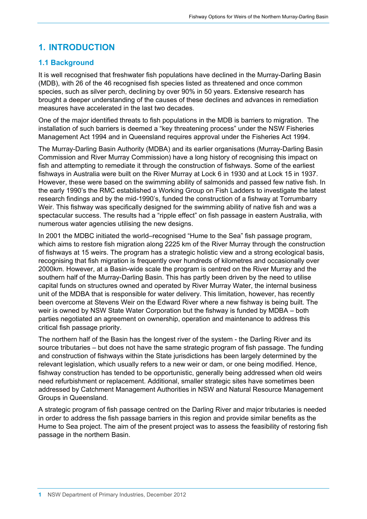# <span id="page-7-0"></span>**1. INTRODUCTION**

### <span id="page-7-1"></span>**1.1 Background**

It is well recognised that freshwater fish populations have declined in the Murray-Darling Basin (MDB), with 26 of the 46 recognised fish species listed as threatened and once common species, such as silver perch, declining by over 90% in 50 years. Extensive research has brought a deeper understanding of the causes of these declines and advances in remediation measures have accelerated in the last two decades.

One of the major identified threats to fish populations in the MDB is barriers to migration. The installation of such barriers is deemed a "key threatening process" under the NSW Fisheries Management Act 1994 and in Queensland requires approval under the Fisheries Act 1994.

The Murray-Darling Basin Authority (MDBA) and its earlier organisations (Murray-Darling Basin Commission and River Murray Commission) have a long history of recognising this impact on fish and attempting to remediate it through the construction of fishways. Some of the earliest fishways in Australia were built on the River Murray at Lock 6 in 1930 and at Lock 15 in 1937. However, these were based on the swimming ability of salmonids and passed few native fish. In the early 1990's the RMC established a Working Group on Fish Ladders to investigate the latest research findings and by the mid-1990's, funded the construction of a fishway at Torrumbarry Weir. This fishway was specifically designed for the swimming ability of native fish and was a spectacular success. The results had a "ripple effect" on fish passage in eastern Australia, with numerous water agencies utilising the new designs.

In 2001 the MDBC initiated the world–recognised "Hume to the Sea" fish passage program, which aims to restore fish migration along 2225 km of the River Murray through the construction of fishways at 15 weirs. The program has a strategic holistic view and a strong ecological basis, recognising that fish migration is frequently over hundreds of kilometres and occasionally over 2000km. However, at a Basin-wide scale the program is centred on the River Murray and the southern half of the Murray-Darling Basin. This has partly been driven by the need to utilise capital funds on structures owned and operated by River Murray Water, the internal business unit of the MDBA that is responsible for water delivery. This limitation, however, has recently been overcome at Stevens Weir on the Edward River where a new fishway is being built. The weir is owned by NSW State Water Corporation but the fishway is funded by MDBA – both parties negotiated an agreement on ownership, operation and maintenance to address this critical fish passage priority.

The northern half of the Basin has the longest river of the system - the Darling River and its source tributaries – but does not have the same strategic program of fish passage. The funding and construction of fishways within the State jurisdictions has been largely determined by the relevant legislation, which usually refers to a new weir or dam, or one being modified. Hence, fishway construction has tended to be opportunistic, generally being addressed when old weirs need refurbishment or replacement. Additional, smaller strategic sites have sometimes been addressed by Catchment Management Authorities in NSW and Natural Resource Management Groups in Queensland.

A strategic program of fish passage centred on the Darling River and major tributaries is needed in order to address the fish passage barriers in this region and provide similar benefits as the Hume to Sea project. The aim of the present project was to assess the feasibility of restoring fish passage in the northern Basin.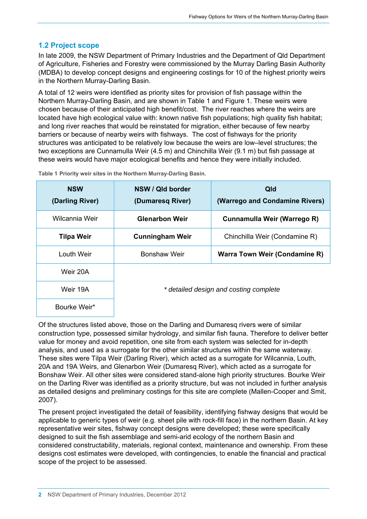### **1.2 Project scope**

<span id="page-8-0"></span>In late 2009, the NSW Department of Primary Industries and the Department of Qld Department of Agriculture, Fisheries and Forestry were commissioned by the Murray Darling Basin Authority (MDBA) to develop concept designs and engineering costings for 10 of the highest priority weirs in the Northern Murray-Darling Basin.

A total of 12 weirs were identified as priority sites for provision of fish passage within the Northern Murray-Darling Basin, and are shown in Table 1 and Figure 1. These weirs were chosen because of their anticipated high benefit/cost. The river reaches where the weirs are located have high ecological value with: known native fish populations; high quality fish habitat; and long river reaches that would be reinstated for migration, either because of few nearby barriers or because of nearby weirs with fishways. The cost of fishways for the priority structures was anticipated to be relatively low because the weirs are low–level structures; the two exceptions are Cunnamulla Weir (4.5 m) and Chinchilla Weir (9.1 m) but fish passage at these weirs would have major ecological benefits and hence they were initially included.

<span id="page-8-1"></span>

| <b>NSW</b><br>(Darling River) | NSW / Qld border<br>(Dumaresq River) | Qld<br>(Warrego and Condamine Rivers)  |
|-------------------------------|--------------------------------------|----------------------------------------|
| Wilcannia Weir                | <b>Glenarbon Weir</b>                | Cunnamulla Weir (Warrego R)            |
| <b>Tilpa Weir</b>             | <b>Cunningham Weir</b>               | Chinchilla Weir (Condamine R)          |
| Louth Weir                    | Bonshaw Weir                         | <b>Warra Town Weir (Condamine R)</b>   |
| Weir 20A                      |                                      |                                        |
| Weir 19A                      |                                      | * detailed design and costing complete |
| Bourke Weir*                  |                                      |                                        |

**Table 1 Priority weir sites in the Northern Murray-Darling Basin.** 

Of the structures listed above, those on the Darling and Dumaresq rivers were of similar construction type, possessed similar hydrology, and similar fish fauna. Therefore to deliver better value for money and avoid repetition, one site from each system was selected for in-depth analysis, and used as a surrogate for the other similar structures within the same waterway. These sites were Tilpa Weir (Darling River), which acted as a surrogate for Wilcannia, Louth, 20A and 19A Weirs, and Glenarbon Weir (Dumaresq River), which acted as a surrogate for Bonshaw Weir. All other sites were considered stand-alone high priority structures. Bourke Weir on the Darling River was identified as a priority structure, but was not included in further analysis as detailed designs and preliminary costings for this site are complete (Mallen-Cooper and Smit, 2007).

The present project investigated the detail of feasibility, identifying fishway designs that would be applicable to generic types of weir (e.g. sheet pile with rock-fill face) in the northern Basin. At key representative weir sites, fishway concept designs were developed; these were specifically designed to suit the fish assemblage and semi-arid ecology of the northern Basin and considered constructability, materials, regional context, maintenance and ownership. From these designs cost estimates were developed, with contingencies, to enable the financial and practical scope of the project to be assessed.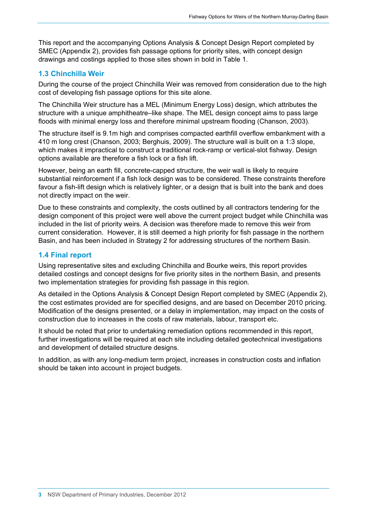This report and the accompanying Options Analysis & Concept Design Report completed by SMEC (Appendix 2), provides fish passage options for priority sites, with concept design drawings and costings applied to those sites shown in bold in Table 1.

### **1.3 Chinchilla Weir**

<span id="page-9-0"></span>During the course of the project Chinchilla Weir was removed from consideration due to the high cost of developing fish passage options for this site alone.

The Chinchilla Weir structure has a MEL (Minimum Energy Loss) design, which attributes the structure with a unique amphitheatre–like shape. The MEL design concept aims to pass large floods with minimal energy loss and therefore minimal upstream flooding (Chanson, 2003).

The structure itself is 9.1m high and comprises compacted earthfill overflow embankment with a 410 m long crest (Chanson, 2003; Berghuis, 2009). The structure wall is built on a 1:3 slope, which makes it impractical to construct a traditional rock-ramp or vertical-slot fishway. Design options available are therefore a fish lock or a fish lift.

However, being an earth fill, concrete-capped structure, the weir wall is likely to require substantial reinforcement if a fish lock design was to be considered. These constraints therefore favour a fish-lift design which is relatively lighter, or a design that is built into the bank and does not directly impact on the weir.

Due to these constraints and complexity, the costs outlined by all contractors tendering for the design component of this project were well above the current project budget while Chinchilla was included in the list of priority weirs. A decision was therefore made to remove this weir from current consideration. However, it is still deemed a high priority for fish passage in the northern Basin, and has been included in Strategy 2 for addressing structures of the northern Basin.

#### <span id="page-9-1"></span>**1.4 Final report**

Using representative sites and excluding Chinchilla and Bourke weirs, this report provides detailed costings and concept designs for five priority sites in the northern Basin, and presents two implementation strategies for providing fish passage in this region.

As detailed in the Options Analysis & Concept Design Report completed by SMEC (Appendix 2), the cost estimates provided are for specified designs, and are based on December 2010 pricing. Modification of the designs presented, or a delay in implementation, may impact on the costs of construction due to increases in the costs of raw materials, labour, transport etc.

It should be noted that prior to undertaking remediation options recommended in this report, further investigations will be required at each site including detailed geotechnical investigations and development of detailed structure designs.

In addition, as with any long-medium term project, increases in construction costs and inflation should be taken into account in project budgets.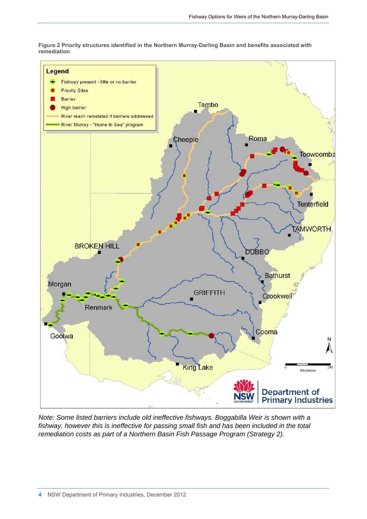**Figure 2 Priority structures identified in the Northern Murray-Darling Basin and benefits associated with remediation** 

<span id="page-10-0"></span>

*Note: Some listed barriers include old ineffective fishways. Boggabilla Weir is shown with a fishway, however this is ineffective for passing small fish and has been included in the total remediation costs as part of a Northern Basin Fish Passage Program (Strategy 2).*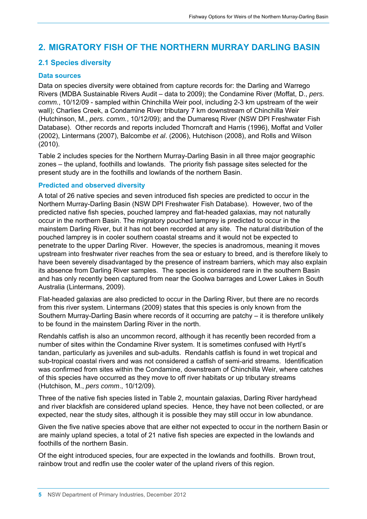# <span id="page-11-0"></span>**2. MIGRATORY FISH OF THE NORTHERN MURRAY DARLING BASIN**

#### <span id="page-11-1"></span>**2.1 Species diversity**

#### **Data sources**

Data on species diversity were obtained from capture records for: the Darling and Warrego Rivers (MDBA Sustainable Rivers Audit – data to 2009); the Condamine River (Moffat, D., *pers. comm.*, 10/12/09 - sampled within Chinchilla Weir pool, including 2-3 km upstream of the weir wall); Charlies Creek, a Condamine River tributary 7 km downstream of Chinchilla Weir (Hutchinson, M., *pers. comm.*, 10/12/09); and the Dumaresq River (NSW DPI Freshwater Fish Database). Other records and reports included Thorncraft and Harris (1996), Moffat and Voller (2002), Lintermans (2007), Balcombe *et al*. (2006), Hutchison (2008), and Rolls and Wilson (2010).

Table 2 includes species for the Northern Murray-Darling Basin in all three major geographic zones – the upland, foothills and lowlands. The priority fish passage sites selected for the present study are in the foothills and lowlands of the northern Basin.

#### **Predicted and observed diversity**

A total of 26 native species and seven introduced fish species are predicted to occur in the Northern Murray-Darling Basin (NSW DPI Freshwater Fish Database). However, two of the predicted native fish species, pouched lamprey and flat-headed galaxias, may not naturally occur in the northern Basin. The migratory pouched lamprey is predicted to occur in the mainstem Darling River, but it has not been recorded at any site. The natural distribution of the pouched lamprey is in cooler southern coastal streams and it would not be expected to penetrate to the upper Darling River. However, the species is anadromous, meaning it moves upstream into freshwater river reaches from the sea or estuary to breed, and is therefore likely to have been severely disadvantaged by the presence of instream barriers, which may also explain its absence from Darling River samples. The species is considered rare in the southern Basin and has only recently been captured from near the Goolwa barrages and Lower Lakes in South Australia (Lintermans, 2009).

Flat-headed galaxias are also predicted to occur in the Darling River, but there are no records from this river system. Lintermans (2009) states that this species is only known from the Southern Murray-Darling Basin where records of it occurring are patchy – it is therefore unlikely to be found in the mainstem Darling River in the north.

Rendahls catfish is also an uncommon record, although it has recently been recorded from a number of sites within the Condamine River system. It is sometimes confused with Hyrtl's tandan, particularly as juveniles and sub-adults. Rendahls catfish is found in wet tropical and sub-tropical coastal rivers and was not considered a catfish of semi-arid streams. Identification was confirmed from sites within the Condamine, downstream of Chinchilla Weir, where catches of this species have occurred as they move to off river habitats or up tributary streams (Hutchison, M., *pers comm*., 10/12/09).

Three of the native fish species listed in Table 2, mountain galaxias, Darling River hardyhead and river blackfish are considered upland species. Hence, they have not been collected, or are expected, near the study sites, although it is possible they may still occur in low abundance.

Given the five native species above that are either not expected to occur in the northern Basin or are mainly upland species, a total of 21 native fish species are expected in the lowlands and foothills of the northern Basin.

Of the eight introduced species, four are expected in the lowlands and foothills. Brown trout, rainbow trout and redfin use the cooler water of the upland rivers of this region.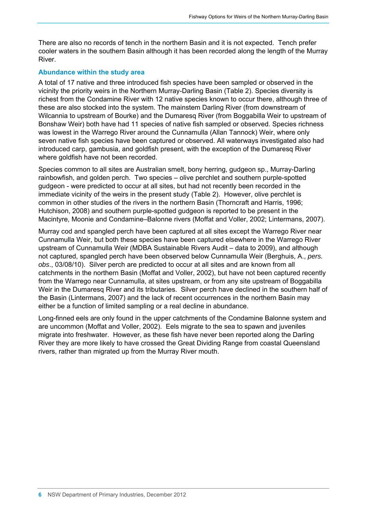There are also no records of tench in the northern Basin and it is not expected. Tench prefer cooler waters in the southern Basin although it has been recorded along the length of the Murray River.

#### **Abundance within the study area**

A total of 17 native and three introduced fish species have been sampled or observed in the vicinity the priority weirs in the Northern Murray-Darling Basin (Table 2). Species diversity is richest from the Condamine River with 12 native species known to occur there, although three of these are also stocked into the system. The mainstem Darling River (from downstream of Wilcannia to upstream of Bourke) and the Dumaresq River (from Boggabilla Weir to upstream of Bonshaw Weir) both have had 11 species of native fish sampled or observed. Species richness was lowest in the Warrego River around the Cunnamulla (Allan Tannock) Weir, where only seven native fish species have been captured or observed. All waterways investigated also had introduced carp, gambusia, and goldfish present, with the exception of the Dumaresq River where goldfish have not been recorded.

Species common to all sites are Australian smelt, bony herring, gudgeon sp., Murray-Darling rainbowfish, and golden perch. Two species – olive perchlet and southern purple-spotted gudgeon - were predicted to occur at all sites, but had not recently been recorded in the immediate vicinity of the weirs in the present study (Table 2). However, olive perchlet is common in other studies of the rivers in the northern Basin (Thorncraft and Harris, 1996; Hutchison, 2008) and southern purple-spotted gudgeon is reported to be present in the Macintyre, Moonie and Condamine–Balonne rivers (Moffat and Voller, 2002; Lintermans, 2007).

Murray cod and spangled perch have been captured at all sites except the Warrego River near Cunnamulla Weir, but both these species have been captured elsewhere in the Warrego River upstream of Cunnamulla Weir (MDBA Sustainable Rivers Audit – data to 2009), and although not captured, spangled perch have been observed below Cunnamulla Weir (Berghuis, A., *pers. obs*., 03/08/10). Silver perch are predicted to occur at all sites and are known from all catchments in the northern Basin (Moffat and Voller, 2002), but have not been captured recently from the Warrego near Cunnamulla, at sites upstream, or from any site upstream of Boggabilla Weir in the Dumaresq River and its tributaries. Silver perch have declined in the southern half of the Basin (Lintermans, 2007) and the lack of recent occurrences in the northern Basin may either be a function of limited sampling or a real decline in abundance.

Long-finned eels are only found in the upper catchments of the Condamine Balonne system and are uncommon (Moffat and Voller, 2002). Eels migrate to the sea to spawn and juveniles migrate into freshwater. However, as these fish have never been reported along the Darling River they are more likely to have crossed the Great Dividing Range from coastal Queensland rivers, rather than migrated up from the Murray River mouth.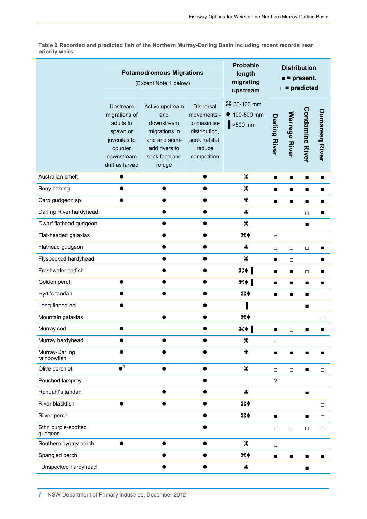<span id="page-13-0"></span>**Table 2 Recorded and predicted fish of the Northern Murray-Darling Basin including recent records near priority weirs.** 

|                                | <b>Potamodromous Migrations</b><br>(Except Note 1 below)                                                       |                                                                                                                      | <b>Probable</b><br>length<br>migrating<br>upstream                                                 | <b>Distribution</b><br>$\blacksquare$ = present.<br>$\square$ = predicted |                      |                      |                        |                       |
|--------------------------------|----------------------------------------------------------------------------------------------------------------|----------------------------------------------------------------------------------------------------------------------|----------------------------------------------------------------------------------------------------|---------------------------------------------------------------------------|----------------------|----------------------|------------------------|-----------------------|
|                                | Upstream<br>migrations of<br>adults to<br>spawn or<br>juveniles to<br>counter<br>downstream<br>drift as larvae | Active upstream<br>and<br>downstream<br>migrations in<br>arid and semi-<br>arid rivers to<br>seek food and<br>refuge | Dispersal<br>movements -<br>to maximise<br>distribution,<br>seek habitat,<br>reduce<br>competition | <sup>36</sup> 30-100 mm<br>100-500 mm<br>$>500$ mm                        | <b>Darling River</b> | <b>Warrego River</b> | <b>Condamine River</b> | <b>Dumaresq River</b> |
| Australian smelt               |                                                                                                                |                                                                                                                      |                                                                                                    | æ                                                                         | ■                    | ■                    | ■                      | ■                     |
| Bony herring                   |                                                                                                                | $\bullet$                                                                                                            |                                                                                                    | æ                                                                         | ■                    |                      | ■                      | ■                     |
| Carp gudgeon sp.               |                                                                                                                |                                                                                                                      |                                                                                                    | æ                                                                         | ■                    | п                    | ■                      |                       |
| Darling River hardyhead        |                                                                                                                |                                                                                                                      |                                                                                                    | æ                                                                         |                      |                      | $\Box$                 |                       |
| Dwarf flathead gudgeon         |                                                                                                                |                                                                                                                      |                                                                                                    | æ                                                                         |                      |                      |                        |                       |
| Flat-headed galaxias           |                                                                                                                |                                                                                                                      |                                                                                                    | ж♦                                                                        | $\Box$               |                      |                        |                       |
| Flathead gudgeon               |                                                                                                                |                                                                                                                      |                                                                                                    | æ                                                                         | $\Box$               | $\Box$               | $\Box$                 |                       |
| Flyspecked hardyhead           |                                                                                                                |                                                                                                                      |                                                                                                    | æ                                                                         | п                    | $\Box$               |                        |                       |
| Freshwater catfish             |                                                                                                                |                                                                                                                      |                                                                                                    | $\mathcal{H}$ $\blacklozenge$ $\blacksquare$                              | п                    | п                    | $\Box$                 |                       |
| Golden perch                   |                                                                                                                |                                                                                                                      |                                                                                                    | ₩♦                                                                        | п                    | п                    | п                      |                       |
| Hyrtl's tandan                 |                                                                                                                |                                                                                                                      |                                                                                                    | $\ast \bullet$                                                            |                      | ■                    |                        |                       |
| Long-finned eel                |                                                                                                                |                                                                                                                      |                                                                                                    |                                                                           |                      |                      |                        |                       |
| Mountain galaxias              |                                                                                                                |                                                                                                                      |                                                                                                    | $\ast \bullet$                                                            |                      |                      |                        | $\Box$                |
| Murray cod                     |                                                                                                                |                                                                                                                      |                                                                                                    | $\mathbb{R}$ $\blacklozenge$ $\blacksquare$                               | ■                    | $\Box$               |                        |                       |
| Murray hardyhead               |                                                                                                                |                                                                                                                      |                                                                                                    | æ                                                                         | $\Box$               |                      |                        |                       |
| Murray-Darling<br>rainbowfish  |                                                                                                                |                                                                                                                      |                                                                                                    | æ                                                                         | ■                    |                      |                        |                       |
| Olive perchlet                 | $\bullet$ <sup>1</sup>                                                                                         | ●                                                                                                                    |                                                                                                    | æ                                                                         | $\Box$               | $\Box$               |                        | $\Box$                |
| Pouched lamprey                |                                                                                                                |                                                                                                                      |                                                                                                    |                                                                           | $\overline{?}$       |                      |                        |                       |
| Rendahl's tandan               |                                                                                                                |                                                                                                                      |                                                                                                    | æ                                                                         |                      |                      | п                      |                       |
| River blackfish                |                                                                                                                |                                                                                                                      |                                                                                                    | ิ่ #                                                                      |                      |                      |                        | $\Box$                |
| Silver perch                   |                                                                                                                |                                                                                                                      |                                                                                                    | ж♦                                                                        | ■                    |                      | ■                      | $\Box$                |
| Sthn purple-spotted<br>gudgeon |                                                                                                                |                                                                                                                      |                                                                                                    |                                                                           | $\Box$               | $\Box$               | $\Box$                 | $\Box$                |
| Southern pygmy perch           | ●                                                                                                              | ●                                                                                                                    |                                                                                                    | æ                                                                         | $\Box$               |                      |                        |                       |
| Spangled perch                 |                                                                                                                |                                                                                                                      |                                                                                                    | ж♦                                                                        | п                    | ■                    | ■                      |                       |
| Unspecked hardyhead            |                                                                                                                |                                                                                                                      |                                                                                                    | æ                                                                         |                      |                      | п                      |                       |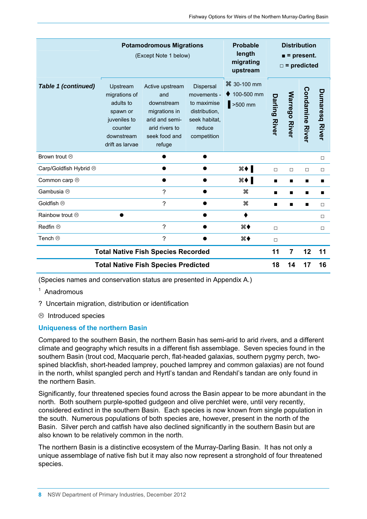|                                            |                                                                                                                | <b>Potamodromous Migrations</b><br>(Except Note 1 below)                                                             |                                                                                                    | <b>Probable</b><br>length<br>migrating<br>upstream                 |                      | <b>Distribution</b><br>$\blacksquare$ = present.<br>$\square$ = predicted |                        |                       |  |
|--------------------------------------------|----------------------------------------------------------------------------------------------------------------|----------------------------------------------------------------------------------------------------------------------|----------------------------------------------------------------------------------------------------|--------------------------------------------------------------------|----------------------|---------------------------------------------------------------------------|------------------------|-----------------------|--|
| <b>Table 1 (continued)</b>                 | Upstream<br>migrations of<br>adults to<br>spawn or<br>juveniles to<br>counter<br>downstream<br>drift as larvae | Active upstream<br>and<br>downstream<br>migrations in<br>arid and semi-<br>arid rivers to<br>seek food and<br>refuge | Dispersal<br>movements -<br>to maximise<br>distribution,<br>seek habitat,<br>reduce<br>competition | <sup>36</sup> 30-100 mm<br>$\blacklozenge$ 100-500 mm<br>$>500$ mm | <b>Darling River</b> | <b>Warrego River</b>                                                      | <b>Condamine River</b> | <b>Dumaresq River</b> |  |
| Brown trout ®                              |                                                                                                                |                                                                                                                      |                                                                                                    |                                                                    |                      |                                                                           |                        | $\Box$                |  |
| Carp/Goldfish Hybrid &                     |                                                                                                                |                                                                                                                      |                                                                                                    | ж <b>↓∥</b>                                                        | $\Box$               | $\Box$                                                                    | $\Box$                 | $\Box$                |  |
| Common carp ®                              |                                                                                                                | O                                                                                                                    |                                                                                                    | $\frac{1}{2}$                                                      | ■                    | ■                                                                         | ■                      | ■                     |  |
| Gambusia <sup>®</sup>                      |                                                                                                                | ?                                                                                                                    |                                                                                                    | æ                                                                  | ■                    | ■                                                                         | ■                      |                       |  |
| Goldfish <sup>®</sup>                      |                                                                                                                | ?                                                                                                                    |                                                                                                    | æ                                                                  | ■                    | ■                                                                         | ■                      | $\Box$                |  |
| <b>Rainbow trout <sup>ⓒ</sup></b>          |                                                                                                                |                                                                                                                      |                                                                                                    |                                                                    |                      |                                                                           |                        | □                     |  |
| Redfin $\circledcirc$                      |                                                                                                                | ?                                                                                                                    |                                                                                                    | ิ่ #♦                                                              | $\Box$               |                                                                           |                        | $\Box$                |  |
| Tench <sup>®</sup>                         |                                                                                                                | ?                                                                                                                    |                                                                                                    | ж♦                                                                 | $\Box$               |                                                                           |                        |                       |  |
| <b>Total Native Fish Species Recorded</b>  |                                                                                                                |                                                                                                                      |                                                                                                    | 11                                                                 | 7                    | 12                                                                        | 11                     |                       |  |
| <b>Total Native Fish Species Predicted</b> |                                                                                                                |                                                                                                                      |                                                                                                    |                                                                    | 18                   | 14                                                                        | 17                     | 16                    |  |

(Species names and conservation status are presented in Appendix A.)

<sup>1</sup> Anadromous

? Uncertain migration, distribution or identification

<sup>
®</sup> Introduced species

#### **Uniqueness of the northern Basin**

Compared to the southern Basin, the northern Basin has semi-arid to arid rivers, and a different climate and geography which results in a different fish assemblage. Seven species found in the southern Basin (trout cod, Macquarie perch, flat-headed galaxias, southern pygmy perch, twospined blackfish, short-headed lamprey, pouched lamprey and common galaxias) are not found in the north, whilst spangled perch and Hyrtl's tandan and Rendahl's tandan are only found in the northern Basin.

Significantly, four threatened species found across the Basin appear to be more abundant in the north. Both southern purple-spotted gudgeon and olive perchlet were, until very recently, considered extinct in the southern Basin. Each species is now known from single population in the south. Numerous populations of both species are, however, present in the north of the Basin. Silver perch and catfish have also declined significantly in the southern Basin but are also known to be relatively common in the north.

The northern Basin is a distinctive ecosystem of the Murray-Darling Basin. It has not only a unique assemblage of native fish but it may also now represent a stronghold of four threatened species.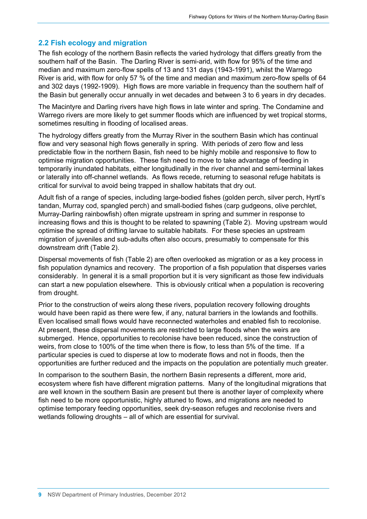#### **2.2 Fish ecology and migration**

<span id="page-15-0"></span>The fish ecology of the northern Basin reflects the varied hydrology that differs greatly from the southern half of the Basin. The Darling River is semi-arid, with flow for 95% of the time and median and maximum zero-flow spells of 13 and 131 days (1943-1991), whilst the Warrego River is arid, with flow for only 57 % of the time and median and maximum zero-flow spells of 64 and 302 days (1992-1909). High flows are more variable in frequency than the southern half of the Basin but generally occur annually in wet decades and between 3 to 6 years in dry decades.

The Macintyre and Darling rivers have high flows in late winter and spring. The Condamine and Warrego rivers are more likely to get summer floods which are influenced by wet tropical storms, sometimes resulting in flooding of localised areas.

The hydrology differs greatly from the Murray River in the southern Basin which has continual flow and very seasonal high flows generally in spring. With periods of zero flow and less predictable flow in the northern Basin, fish need to be highly mobile and responsive to flow to optimise migration opportunities. These fish need to move to take advantage of feeding in temporarily inundated habitats, either longitudinally in the river channel and semi-terminal lakes or laterally into off-channel wetlands. As flows recede, returning to seasonal refuge habitats is critical for survival to avoid being trapped in shallow habitats that dry out.

Adult fish of a range of species, including large-bodied fishes (golden perch, silver perch, Hyrtl's tandan, Murray cod, spangled perch) and small-bodied fishes (carp gudgeons, olive perchlet, Murray-Darling rainbowfish) often migrate upstream in spring and summer in response to increasing flows and this is thought to be related to spawning (Table 2). Moving upstream would optimise the spread of drifting larvae to suitable habitats. For these species an upstream migration of juveniles and sub-adults often also occurs, presumably to compensate for this downstream drift (Table 2).

Dispersal movements of fish (Table 2) are often overlooked as migration or as a key process in fish population dynamics and recovery. The proportion of a fish population that disperses varies considerably. In general it is a small proportion but it is very significant as those few individuals can start a new population elsewhere. This is obviously critical when a population is recovering from drought.

Prior to the construction of weirs along these rivers, population recovery following droughts would have been rapid as there were few, if any, natural barriers in the lowlands and foothills. Even localised small flows would have reconnected waterholes and enabled fish to recolonise. At present, these dispersal movements are restricted to large floods when the weirs are submerged. Hence, opportunities to recolonise have been reduced, since the construction of weirs, from close to 100% of the time when there is flow, to less than 5% of the time. If a particular species is cued to disperse at low to moderate flows and not in floods, then the opportunities are further reduced and the impacts on the population are potentially much greater.

In comparison to the southern Basin, the northern Basin represents a different, more arid, ecosystem where fish have different migration patterns. Many of the longitudinal migrations that are well known in the southern Basin are present but there is another layer of complexity where fish need to be more opportunistic, highly attuned to flows, and migrations are needed to optimise temporary feeding opportunities, seek dry-season refuges and recolonise rivers and wetlands following droughts – all of which are essential for survival.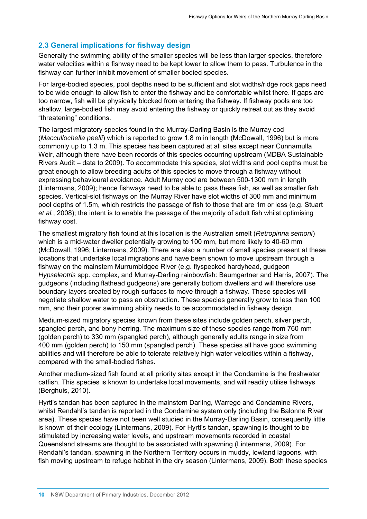#### **2.3 General implications for fishway design**

<span id="page-16-0"></span>Generally the swimming ability of the smaller species will be less than larger species, therefore water velocities within a fishway need to be kept lower to allow them to pass. Turbulence in the fishway can further inhibit movement of smaller bodied species.

For large-bodied species, pool depths need to be sufficient and slot widths/ridge rock gaps need to be wide enough to allow fish to enter the fishway and be comfortable whilst there. If gaps are too narrow, fish will be physically blocked from entering the fishway. If fishway pools are too shallow, large-bodied fish may avoid entering the fishway or quickly retreat out as they avoid "threatening" conditions.

The largest migratory species found in the Murray-Darling Basin is the Murray cod (*Maccullochella peelii*) which is reported to grow 1.8 m in length (McDowall, 1996) but is more commonly up to 1.3 m. This species has been captured at all sites except near Cunnamulla Weir, although there have been records of this species occurring upstream (MDBA Sustainable Rivers Audit – data to 2009). To accommodate this species, slot widths and pool depths must be great enough to allow breeding adults of this species to move through a fishway without expressing behavioural avoidance. Adult Murray cod are between 500-1300 mm in length (Lintermans, 2009); hence fishways need to be able to pass these fish, as well as smaller fish species. Vertical-slot fishways on the Murray River have slot widths of 300 mm and minimum pool depths of 1.5m, which restricts the passage of fish to those that are 1m or less (e.g. Stuart *et al.*, 2008); the intent is to enable the passage of the majority of adult fish whilst optimising fishway cost.

The smallest migratory fish found at this location is the Australian smelt (*Retropinna semoni*) which is a mid-water dweller potentially growing to 100 mm, but more likely to 40-60 mm (McDowall, 1996; Lintermans, 2009). There are also a number of small species present at these locations that undertake local migrations and have been shown to move upstream through a fishway on the mainstem Murrumbidgee River (e.g. flyspecked hardyhead, gudgeon *Hypseleotris* spp. complex, and Murray-Darling rainbowfish: Baumgartner and Harris, 2007). The gudgeons (including flathead gudgeons) are generally bottom dwellers and will therefore use boundary layers created by rough surfaces to move through a fishway. These species will negotiate shallow water to pass an obstruction. These species generally grow to less than 100 mm, and their poorer swimming ability needs to be accommodated in fishway design.

Medium-sized migratory species known from these sites include golden perch, silver perch, spangled perch, and bony herring. The maximum size of these species range from 760 mm (golden perch) to 330 mm (spangled perch), although generally adults range in size from 400 mm (golden perch) to 150 mm (spangled perch). These species all have good swimming abilities and will therefore be able to tolerate relatively high water velocities within a fishway, compared with the small-bodied fishes.

Another medium-sized fish found at all priority sites except in the Condamine is the freshwater catfish. This species is known to undertake local movements, and will readily utilise fishways (Berghuis, 2010).

Hyrtl's tandan has been captured in the mainstem Darling, Warrego and Condamine Rivers, whilst Rendahl's tandan is reported in the Condamine system only (including the Balonne River area). These species have not been well studied in the Murray-Darling Basin, consequently little is known of their ecology (Lintermans, 2009). For Hyrtl's tandan, spawning is thought to be stimulated by increasing water levels, and upstream movements recorded in coastal Queensland streams are thought to be associated with spawning (Lintermans, 2009). For Rendahl's tandan, spawning in the Northern Territory occurs in muddy, lowland lagoons, with fish moving upstream to refuge habitat in the dry season (Lintermans, 2009). Both these species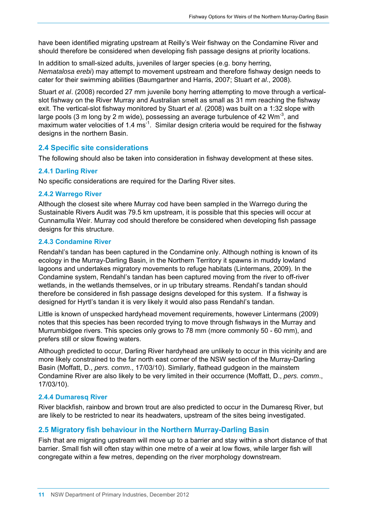have been identified migrating upstream at Reilly's Weir fishway on the Condamine River and should therefore be considered when developing fish passage designs at priority locations.

In addition to small-sized adults, juveniles of larger species (e.g. bony herring, *Nematalosa erebi*) may attempt to movement upstream and therefore fishway design needs to cater for their swimming abilities (Baumgartner and Harris, 2007; Stuart *et al*., 2008).

Stuart *et al*. (2008) recorded 27 mm juvenile bony herring attempting to move through a verticalslot fishway on the River Murray and Australian smelt as small as 31 mm reaching the fishway exit. The vertical-slot fishway monitored by Stuart *et al*. (2008) was built on a 1:32 slope with large pools (3 m long by 2 m wide), possessing an average turbulence of 42  $Wm^{-3}$ , and maximum water velocities of 1.4 ms<sup>-1</sup>. Similar design criteria would be required for the fishway designs in the northern Basin.

#### <span id="page-17-0"></span>**2.4 Specific site considerations**

The following should also be taken into consideration in fishway development at these sites.

#### **2.4.1 Darling River**

No specific considerations are required for the Darling River sites.

#### **2.4.2 Warrego River**

Although the closest site where Murray cod have been sampled in the Warrego during the Sustainable Rivers Audit was 79.5 km upstream, it is possible that this species will occur at Cunnamulla Weir. Murray cod should therefore be considered when developing fish passage designs for this structure.

#### **2.4.3 Condamine River**

Rendahl's tandan has been captured in the Condamine only. Although nothing is known of its ecology in the Murray-Darling Basin, in the Northern Territory it spawns in muddy lowland lagoons and undertakes migratory movements to refuge habitats (Lintermans, 2009). In the Condamine system, Rendahl's tandan has been captured moving from the river to off-river wetlands, in the wetlands themselves, or in up tributary streams. Rendahl's tandan should therefore be considered in fish passage designs developed for this system. If a fishway is designed for Hyrtl's tandan it is very likely it would also pass Rendahl's tandan.

Little is known of unspecked hardyhead movement requirements, however Lintermans (2009) notes that this species has been recorded trying to move through fishways in the Murray and Murrumbidgee rivers. This species only grows to 78 mm (more commonly 50 - 60 mm), and prefers still or slow flowing waters.

Although predicted to occur, Darling River hardyhead are unlikely to occur in this vicinity and are more likely constrained to the far north east corner of the NSW section of the Murray-Darling Basin (Moffatt, D., *pers. comm*., 17/03/10). Similarly, flathead gudgeon in the mainstem Condamine River are also likely to be very limited in their occurrence (Moffatt, D., *pers. comm*., 17/03/10).

#### **2.4.4 Dumaresq River**

River blackfish, rainbow and brown trout are also predicted to occur in the Dumaresq River, but are likely to be restricted to near its headwaters, upstream of the sites being investigated.

#### **2.5 Migratory fish behaviour in the Northern Murray-Darling Basin**

<span id="page-17-1"></span>Fish that are migrating upstream will move up to a barrier and stay within a short distance of that barrier. Small fish will often stay within one metre of a weir at low flows, while larger fish will congregate within a few metres, depending on the river morphology downstream.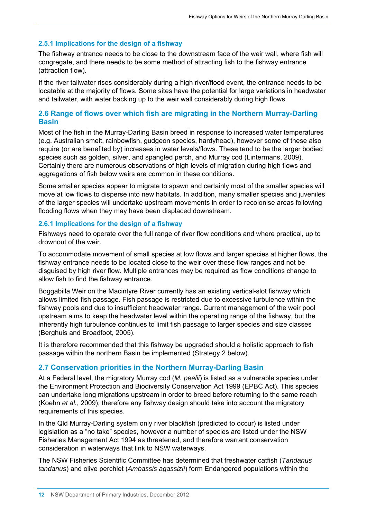#### **2.5.1 Implications for the design of a fishway**

The fishway entrance needs to be close to the downstream face of the weir wall, where fish will congregate, and there needs to be some method of attracting fish to the fishway entrance (attraction flow).

If the river tailwater rises considerably during a high river/flood event, the entrance needs to be locatable at the majority of flows. Some sites have the potential for large variations in headwater and tailwater, with water backing up to the weir wall considerably during high flows.

#### <span id="page-18-0"></span>**2.6 Range of flows over which fish are migrating in the Northern Murray-Darling Basin**

Most of the fish in the Murray-Darling Basin breed in response to increased water temperatures (e.g. Australian smelt, rainbowfish, gudgeon species, hardyhead), however some of these also require (or are benefited by) increases in water levels/flows. These tend to be the larger bodied species such as golden, silver, and spangled perch, and Murray cod (Lintermans, 2009). Certainly there are numerous observations of high levels of migration during high flows and aggregations of fish below weirs are common in these conditions.

Some smaller species appear to migrate to spawn and certainly most of the smaller species will move at low flows to disperse into new habitats. In addition, many smaller species and juveniles of the larger species will undertake upstream movements in order to recolonise areas following flooding flows when they may have been displaced downstream.

#### **2.6.1 Implications for the design of a fishway**

Fishways need to operate over the full range of river flow conditions and where practical, up to drownout of the weir.

To accommodate movement of small species at low flows and larger species at higher flows, the fishway entrance needs to be located close to the weir over these flow ranges and not be disguised by high river flow. Multiple entrances may be required as flow conditions change to allow fish to find the fishway entrance.

Boggabilla Weir on the Macintyre River currently has an existing vertical-slot fishway which allows limited fish passage. Fish passage is restricted due to excessive turbulence within the fishway pools and due to insufficient headwater range. Current management of the weir pool upstream aims to keep the headwater level within the operating range of the fishway, but the inherently high turbulence continues to limit fish passage to larger species and size classes (Berghuis and Broadfoot, 2005).

It is therefore recommended that this fishway be upgraded should a holistic approach to fish passage within the northern Basin be implemented (Strategy 2 below).

#### <span id="page-18-1"></span>**2.7 Conservation priorities in the Northern Murray-Darling Basin**

At a Federal level, the migratory Murray cod (*M. peelii*) is listed as a vulnerable species under the Environment Protection and Biodiversity Conservation Act 1999 (EPBC Act). This species can undertake long migrations upstream in order to breed before returning to the same reach (Koehn *et al.*, 2009); therefore any fishway design should take into account the migratory requirements of this species.

In the Qld Murray-Darling system only river blackfish (predicted to occur) is listed under legislation as a "no take" species, however a number of species are listed under the NSW Fisheries Management Act 1994 as threatened, and therefore warrant conservation consideration in waterways that link to NSW waterways.

The NSW Fisheries Scientific Committee has determined that freshwater catfish (*Tandanus tandanus*) and olive perchlet (*Ambassis agassizii*) form Endangered populations within the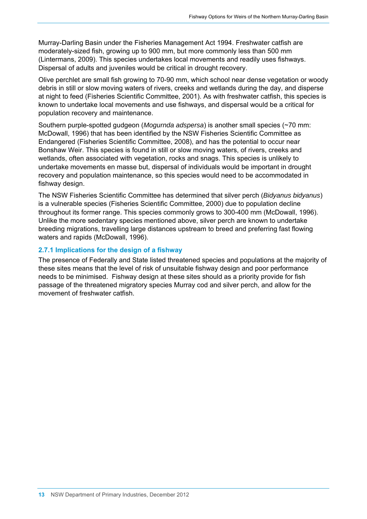Murray-Darling Basin under the Fisheries Management Act 1994. Freshwater catfish are moderately-sized fish, growing up to 900 mm, but more commonly less than 500 mm (Lintermans, 2009). This species undertakes local movements and readily uses fishways. Dispersal of adults and juveniles would be critical in drought recovery.

Olive perchlet are small fish growing to 70-90 mm, which school near dense vegetation or woody debris in still or slow moving waters of rivers, creeks and wetlands during the day, and disperse at night to feed (Fisheries Scientific Committee, 2001). As with freshwater catfish, this species is known to undertake local movements and use fishways, and dispersal would be a critical for population recovery and maintenance.

Southern purple-spotted gudgeon (*Mogurnda adspersa*) is another small species (~70 mm: McDowall, 1996) that has been identified by the NSW Fisheries Scientific Committee as Endangered (Fisheries Scientific Committee, 2008), and has the potential to occur near Bonshaw Weir. This species is found in still or slow moving waters, of rivers, creeks and wetlands, often associated with vegetation, rocks and snags. This species is unlikely to undertake movements en masse but, dispersal of individuals would be important in drought recovery and population maintenance, so this species would need to be accommodated in fishway design.

The NSW Fisheries Scientific Committee has determined that silver perch (*Bidyanus bidyanus*) is a vulnerable species (Fisheries Scientific Committee, 2000) due to population decline throughout its former range. This species commonly grows to 300-400 mm (McDowall, 1996). Unlike the more sedentary species mentioned above, silver perch are known to undertake breeding migrations, travelling large distances upstream to breed and preferring fast flowing waters and rapids (McDowall, 1996).

#### **2.7.1 Implications for the design of a fishway**

The presence of Federally and State listed threatened species and populations at the majority of these sites means that the level of risk of unsuitable fishway design and poor performance needs to be minimised. Fishway design at these sites should as a priority provide for fish passage of the threatened migratory species Murray cod and silver perch, and allow for the movement of freshwater catfish.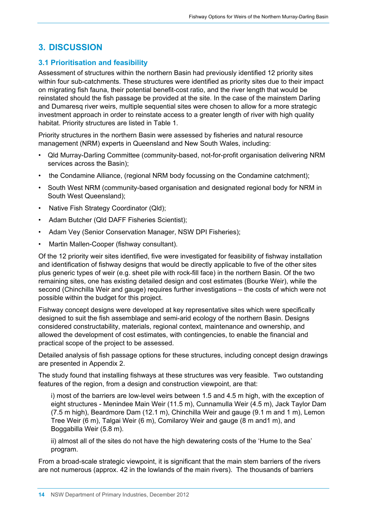# <span id="page-20-0"></span>**3. DISCUSSION**

# **3.1 Prioritisation and feasibility**

<span id="page-20-1"></span>Assessment of structures within the northern Basin had previously identified 12 priority sites within four sub-catchments. These structures were identified as priority sites due to their impact on migrating fish fauna, their potential benefit-cost ratio, and the river length that would be reinstated should the fish passage be provided at the site. In the case of the mainstem Darling and Dumaresq river weirs, multiple sequential sites were chosen to allow for a more strategic investment approach in order to reinstate access to a greater length of river with high quality habitat. Priority structures are listed in Table 1.

Priority structures in the northern Basin were assessed by fisheries and natural resource management (NRM) experts in Queensland and New South Wales, including:

- Qld Murray-Darling Committee (community-based, not-for-profit organisation delivering NRM services across the Basin);
- the Condamine Alliance, (regional NRM body focussing on the Condamine catchment);
- South West NRM (community-based organisation and designated regional body for NRM in South West Queensland);
- Native Fish Strategy Coordinator (Qld);
- Adam Butcher (Qld DAFF Fisheries Scientist);
- Adam Vey (Senior Conservation Manager, NSW DPI Fisheries);
- Martin Mallen-Cooper (fishway consultant).

Of the 12 priority weir sites identified, five were investigated for feasibility of fishway installation and identification of fishway designs that would be directly applicable to five of the other sites plus generic types of weir (e.g. sheet pile with rock-fill face) in the northern Basin. Of the two remaining sites, one has existing detailed design and cost estimates (Bourke Weir), while the second (Chinchilla Weir and gauge) requires further investigations – the costs of which were not possible within the budget for this project.

Fishway concept designs were developed at key representative sites which were specifically designed to suit the fish assemblage and semi-arid ecology of the northern Basin. Designs considered constructability, materials, regional context, maintenance and ownership, and allowed the development of cost estimates, with contingencies, to enable the financial and practical scope of the project to be assessed.

Detailed analysis of fish passage options for these structures, including concept design drawings are presented in Appendix 2.

The study found that installing fishways at these structures was very feasible. Two outstanding features of the region, from a design and construction viewpoint, are that:

i) most of the barriers are low-level weirs between 1.5 and 4.5 m high, with the exception of eight structures - Menindee Main Weir (11.5 m), Cunnamulla Weir (4.5 m), Jack Taylor Dam (7.5 m high), Beardmore Dam (12.1 m), Chinchilla Weir and gauge (9.1 m and 1 m), Lemon Tree Weir (6 m), Talgai Weir (6 m), Comilaroy Weir and gauge (8 m and1 m), and Boggabilla Weir (5.8 m).

ii) almost all of the sites do not have the high dewatering costs of the 'Hume to the Sea' program.

From a broad-scale strategic viewpoint, it is significant that the main stem barriers of the rivers are not numerous (approx. 42 in the lowlands of the main rivers). The thousands of barriers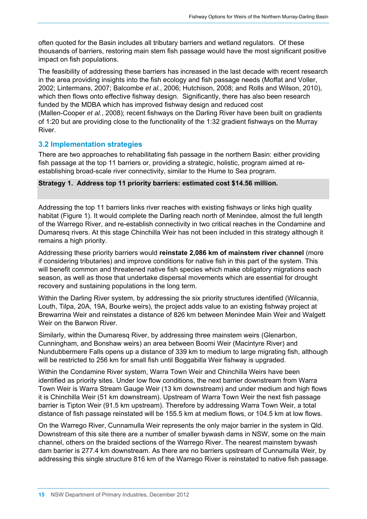often quoted for the Basin includes all tributary barriers and wetland regulators. Of these thousands of barriers, restoring main stem fish passage would have the most significant positive impact on fish populations.

The feasibility of addressing these barriers has increased in the last decade with recent research in the area providing insights into the fish ecology and fish passage needs (Moffat and Voller, 2002; Lintermans, 2007; Balcombe *et al.*, 2006; Hutchison, 2008; and Rolls and Wilson, 2010), which then flows onto effective fishway design. Significantly, there has also been research funded by the MDBA which has improved fishway design and reduced cost (Mallen-Cooper *et al.*, 2008); recent fishways on the Darling River have been built on gradients of 1:20 but are providing close to the functionality of the 1:32 gradient fishways on the Murray River.

#### **3.2 Implementation strategies**

<span id="page-21-0"></span>There are two approaches to rehabilitating fish passage in the northern Basin: either providing fish passage at the top 11 barriers or, providing a strategic, holistic, program aimed at reestablishing broad-scale river connectivity, similar to the Hume to Sea program.

#### **Strategy 1. Address top 11 priority barriers: estimated cost \$14.56 million.**

Addressing the top 11 barriers links river reaches with existing fishways or links high quality habitat (Figure 1). It would complete the Darling reach north of Menindee, almost the full length of the Warrego River, and re-establish connectivity in two critical reaches in the Condamine and Dumaresq rivers. At this stage Chinchilla Weir has not been included in this strategy although it remains a high priority.

Addressing these priority barriers would **reinstate 2,086 km of mainstem river channel** (more if considering tributaries) and improve conditions for native fish in this part of the system. This will benefit common and threatened native fish species which make obligatory migrations each season, as well as those that undertake dispersal movements which are essential for drought recovery and sustaining populations in the long term.

Within the Darling River system, by addressing the six priority structures identified (Wilcannia, Louth, Tilpa, 20A, 19A, Bourke weirs), the project adds value to an existing fishway project at Brewarrina Weir and reinstates a distance of 826 km between Menindee Main Weir and Walgett Weir on the Barwon River.

Similarly, within the Dumaresq River, by addressing three mainstem weirs (Glenarbon, Cunningham, and Bonshaw weirs) an area between Boomi Weir (Macintyre River) and Nundubbermere Falls opens up a distance of 339 km to medium to large migrating fish, although will be restricted to 256 km for small fish until Boggabilla Weir fishway is upgraded.

Within the Condamine River system, Warra Town Weir and Chinchilla Weirs have been identified as priority sites. Under low flow conditions, the next barrier downstream from Warra Town Weir is Warra Stream Gauge Weir (13 km downstream) and under medium and high flows it is Chinchilla Weir (51 km downstream). Upstream of Warra Town Weir the next fish passage barrier is Tipton Weir (91.5 km upstream). Therefore by addressing Warra Town Weir, a total distance of fish passage reinstated will be 155.5 km at medium flows, or 104.5 km at low flows.

On the Warrego River, Cunnamulla Weir represents the only major barrier in the system in Qld. Downstream of this site there are a number of smaller bywash dams in NSW, some on the main channel, others on the braided sections of the Warrego River. The nearest mainstem bywash dam barrier is 277.4 km downstream. As there are no barriers upstream of Cunnamulla Weir, by addressing this single structure 816 km of the Warrego River is reinstated to native fish passage.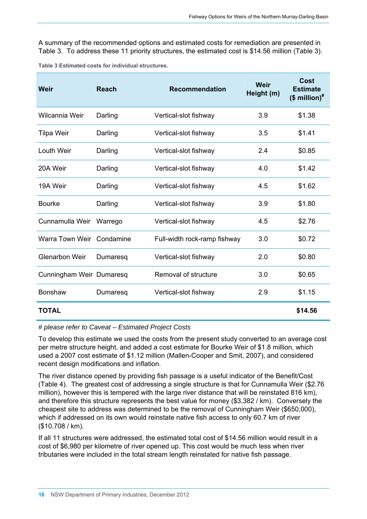A summary of the recommended options and estimated costs for remediation are presented in Table 3. To address these 11 priority structures, the estimated cost is \$14.56 million (Table 3).

<span id="page-22-0"></span>

| Weir                      | <b>Reach</b> | <b>Recommendation</b>        | Weir<br>Height (m) | <b>Cost</b><br><b>Estimate</b><br>$($$ million) <sup>#</sup> |
|---------------------------|--------------|------------------------------|--------------------|--------------------------------------------------------------|
| Wilcannia Weir            | Darling      | Vertical-slot fishway        | 3.9                | \$1.38                                                       |
| <b>Tilpa Weir</b>         | Darling      | Vertical-slot fishway        | 3.5                | \$1.41                                                       |
| Louth Weir                | Darling      | Vertical-slot fishway        | 2.4                | \$0.85                                                       |
| 20A Weir                  | Darling      | Vertical-slot fishway        | 4.0                | \$1.42                                                       |
| 19A Weir                  | Darling      | Vertical-slot fishway        | 4.5                | \$1.62                                                       |
| <b>Bourke</b>             | Darling      | Vertical-slot fishway        | 3.9                | \$1.80                                                       |
| Cunnamulla Weir           | Warrego      | Vertical-slot fishway        | 4.5                | \$2.76                                                       |
| Warra Town Weir Condamine |              | Full-width rock-ramp fishway | 3.0                | \$0.72                                                       |
| <b>Glenarbon Weir</b>     | Dumaresq     | Vertical-slot fishway        | 2.0                | \$0.80                                                       |
| Cunningham Weir Dumaresq  |              | Removal of structure         | 3.0                | \$0.65                                                       |
| <b>Bonshaw</b>            | Dumaresq     | Vertical-slot fishway        | 2.9                | \$1.15                                                       |
| <b>TOTAL</b>              |              |                              |                    | \$14.56                                                      |

**Table 3 Estimated costs for individual structures.** 

#### *# please refer to Caveat – Estimated Project Costs*

To develop this estimate we used the costs from the present study converted to an average cost per metre structure height, and added a cost estimate for Bourke Weir of \$1.8 million, which used a 2007 cost estimate of \$1.12 million (Mallen-Cooper and Smit, 2007), and considered recent design modifications and inflation.

The river distance opened by providing fish passage is a useful indicator of the Benefit/Cost (Table 4). The greatest cost of addressing a single structure is that for Cunnamulla Weir (\$2.76 million), however this is tempered with the large river distance that will be reinstated 816 km), and therefore this structure represents the best value for money (\$3,382 / km). Conversely the cheapest site to address was determined to be the removal of Cunningham Weir (\$650,000), which if addressed on its own would reinstate native fish access to only 60.7 km of river (\$10,708 / km).

If all 11 structures were addressed, the estimated total cost of \$14.56 million would result in a cost of \$6,980 per kilometre of river opened up. This cost would be much less when river tributaries were included in the total stream length reinstated for native fish passage.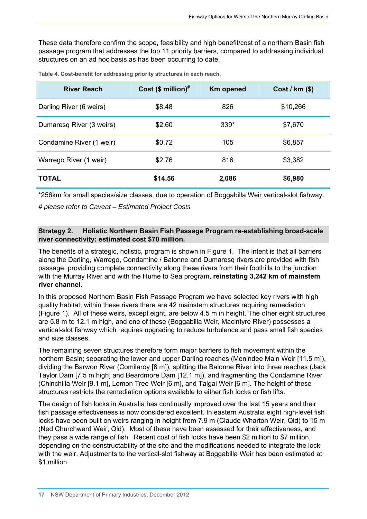These data therefore confirm the scope, feasibility and high benefit/cost of a northern Basin fish passage program that addresses the top 11 priority barriers, compared to addressing individual structures on an ad hoc basis as has been occurring to date.

<span id="page-23-0"></span>

| <b>River Reach</b>       | Cost $(\$$ million) <sup>#</sup> | <b>Km opened</b> | Cost / km (\$) |
|--------------------------|----------------------------------|------------------|----------------|
| Darling River (6 weirs)  | \$8.48                           | 826              | \$10,266       |
| Dumaresq River (3 weirs) | \$2.60                           | 339*             | \$7,670        |
| Condamine River (1 weir) | \$0.72                           | 105              | \$6,857        |
| Warrego River (1 weir)   | \$2.76                           | 816              | \$3,382        |
| <b>TOTAL</b>             | \$14.56                          | 2,086            | \$6,980        |

**Table 4. Cost-benefit for addressing priority structures in each reach.** 

\*256km for small species/size classes, due to operation of Boggabilla Weir vertical-slot fishway.

*# please refer to Caveat – Estimated Project Costs* 

#### **Strategy 2. Holistic Northern Basin Fish Passage Program re-establishing broad-scale river connectivity: estimated cost \$70 million.**

The benefits of a strategic, holistic, program is shown in Figure 1. The intent is that all barriers along the Darling, Warrego, Condamine / Balonne and Dumaresq rivers are provided with fish passage, providing complete connectivity along these rivers from their foothills to the junction with the Murray River and with the Hume to Sea program, **reinstating 3,242 km of mainstem river channel**.

In this proposed Northern Basin Fish Passage Program we have selected key rivers with high quality habitat; within these rivers there are 42 mainstem structures requiring remediation (Figure 1). All of these weirs, except eight, are below 4.5 m in height. The other eight structures are 5.8 m to 12.1 m high, and one of these (Boggabilla Weir, Macintyre River) possesses a vertical-slot fishway which requires upgrading to reduce turbulence and pass small fish species and size classes.

The remaining seven structures therefore form major barriers to fish movement within the northern Basin; separating the lower and upper Darling reaches (Menindee Main Weir [11.5 m]), dividing the Barwon River (Comilaroy [8 m]), splitting the Balonne River into three reaches (Jack Taylor Dam [7.5 m high] and Beardmore Dam [12.1 m]), and fragmenting the Condamine River (Chinchilla Weir [9.1 m], Lemon Tree Weir [6 m], and Talgai Weir [6 m]. The height of these structures restricts the remediation options available to either fish locks or fish lifts.

The design of fish locks in Australia has continually improved over the last 15 years and their fish passage effectiveness is now considered excellent. In eastern Australia eight high-level fish locks have been built on weirs ranging in height from 7.9 m (Claude Wharton Weir, Qld) to 15 m (Ned Churchward Weir, Qld). Most of these have been assessed for their effectiveness, and they pass a wide range of fish. Recent cost of fish locks have been \$2 million to \$7 million, depending on the constructability of the site and the modifications needed to integrate the lock with the weir. Adjustments to the vertical-slot fishway at Boggabilla Weir has been estimated at \$1 million.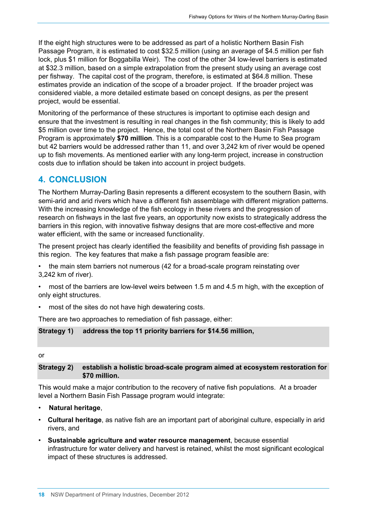If the eight high structures were to be addressed as part of a holistic Northern Basin Fish Passage Program, it is estimated to cost \$32.5 million (using an average of \$4.5 million per fish lock, plus \$1 million for Boggabilla Weir). The cost of the other 34 low-level barriers is estimated at \$32.3 million, based on a simple extrapolation from the present study using an average cost per fishway. The capital cost of the program, therefore, is estimated at \$64.8 million. These estimates provide an indication of the scope of a broader project. If the broader project was considered viable, a more detailed estimate based on concept designs, as per the present project, would be essential.

Monitoring of the performance of these structures is important to optimise each design and ensure that the investment is resulting in real changes in the fish community; this is likely to add \$5 million over time to the project. Hence, the total cost of the Northern Basin Fish Passage Program is approximately **\$70 million**. This is a comparable cost to the Hume to Sea program but 42 barriers would be addressed rather than 11, and over 3,242 km of river would be opened up to fish movements. As mentioned earlier with any long-term project, increase in construction costs due to inflation should be taken into account in project budgets.

# <span id="page-24-0"></span>**4. CONCLUSION**

The Northern Murray-Darling Basin represents a different ecosystem to the southern Basin, with semi-arid and arid rivers which have a different fish assemblage with different migration patterns. With the increasing knowledge of the fish ecology in these rivers and the progression of research on fishways in the last five years, an opportunity now exists to strategically address the barriers in this region, with innovative fishway designs that are more cost-effective and more water efficient, with the same or increased functionality.

The present project has clearly identified the feasibility and benefits of providing fish passage in this region. The key features that make a fish passage program feasible are:

- the main stem barriers not numerous (42 for a broad-scale program reinstating over 3,242 km of river).
- most of the barriers are low-level weirs between 1.5 m and 4.5 m high, with the exception of only eight structures.
- most of the sites do not have high dewatering costs.

There are two approaches to remediation of fish passage, either:

#### **Strategy 1) address the top 11 priority barriers for \$14.56 million,**

#### or

#### **Strategy 2) establish a holistic broad-scale program aimed at ecosystem restoration for \$70 million.**

This would make a major contribution to the recovery of native fish populations. At a broader level a Northern Basin Fish Passage program would integrate:

- **Natural heritage**,
- **Cultural heritage**, as native fish are an important part of aboriginal culture, especially in arid rivers, and
- **Sustainable agriculture and water resource management**, because essential infrastructure for water delivery and harvest is retained, whilst the most significant ecological impact of these structures is addressed.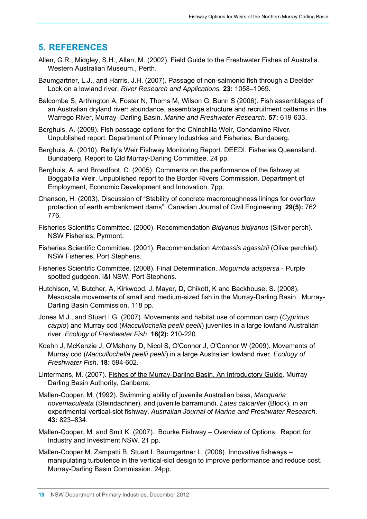# <span id="page-25-0"></span>**5. REFERENCES**

- Allen, G.R., Midgley, S.H., Allen, M. (2002). Field Guide to the Freshwater Fishes of Australia. Western Australian Museum., Perth.
- Baumgartner, L.J., and Harris, J.H. (2007). Passage of non-salmonid fish through a Deelder Lock on a lowland river. *River Research and Applications.* **23:** 1058–1069.
- Balcombe S, Arthington A, Foster N, Thoms M, Wilson G, Bunn S (2006). Fish assemblages of an Australian dryland river: abundance, assemblage structure and recruitment patterns in the Warrego River, Murray–Darling Basin. *Marine and Freshwater Research.* **57:** 619-633.
- Berghuis, A. (2009). Fish passage options for the Chinchilla Weir, Condamine River. Unpublished report. Department of Primary Industries and Fisheries, Bundaberg.
- Berghuis, A. (2010). Reilly's Weir Fishway Monitoring Report. DEEDI. Fisheries Queensland. Bundaberg, Report to Qld Murray-Darling Committee. 24 pp.
- Berghuis, A. and Broadfoot, C. (2005). Comments on the performance of the fishway at Boggabilla Weir. Unpublished report to the Border Rivers Commission. Department of Employment, Economic Development and Innovation. 7pp.
- Chanson, H. (2003). Discussion of "Stability of concrete macroroughness linings for overflow protection of earth embankment dams". Canadian Journal of Civil Engineering. **29(5):** 762 776.
- Fisheries Scientific Committee. (2000). Recommendation *Bidyanus bidyanus* (Silver perch). NSW Fisheries, Pyrmont.
- Fisheries Scientific Committee. (2001). Recommendation *Ambassis agassizii* (Olive perchlet). NSW Fisheries, Port Stephens.
- Fisheries Scientific Committee. (2008). Final Determination. *Mogurnda adspersa* Purple spotted gudgeon. I&I NSW, Port Stephens.
- Hutchison, M, Butcher, A, Kirkwood, J, Mayer, D, Chikott, K and Backhouse, S. (2008). Mesoscale movements of small and medium-sized fish in the Murray-Darling Basin. Murray-Darling Basin Commission. 118 pp.
- Jones M.J., and Stuart I.G. (2007). Movements and habitat use of common carp (*Cyprinus carpio*) and Murray cod (*Maccullochella peelii peelii*) juveniles in a large lowland Australian river. *Ecology of Freshwater Fish*. **16(2):** 210-220.
- Koehn J, McKenzie J, O'Mahony D, Nicol S, O'Connor J, O'Connor W (2009). Movements of Murray cod (*Maccullochella peelii peelii*) in a large Australian lowland river. *Ecology of Freshwater Fish*. **18:** 594-602.
- Lintermans, M. (2007). Fishes of the Murray-Darling Basin. An Introductory Guide. Murray Darling Basin Authority, Canberra.
- Mallen-Cooper, M. (1992). Swimming ability of juvenile Australian bass, *Macquaria novemaculeata* (Steindachner), and juvenile barramundi, *Lates calcarifer* (Block), in an experimental vertical-slot fishway. *Australian Journal of Marine and Freshwater Research*. **43:** 823–834.
- Mallen-Cooper, M. and Smit K. (2007). Bourke Fishway Overview of Options. Report for Industry and Investment NSW. 21 pp.
- Mallen-Cooper M. Zampatti B. Stuart I. Baumgartner L. (2008). Innovative fishways manipulating turbulence in the vertical-slot design to improve performance and reduce cost. Murray-Darling Basin Commission. 24pp.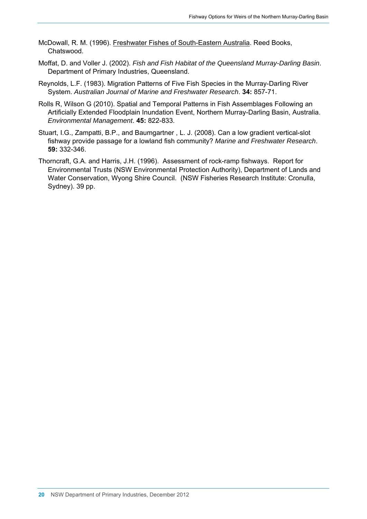- McDowall, R. M. (1996). Freshwater Fishes of South-Eastern Australia. Reed Books, Chatswood.
- Moffat, D. and Voller J. (2002). *Fish and Fish Habitat of the Queensland Murray-Darling Basin*. Department of Primary Industries, Queensland.
- Reynolds, L.F. (1983). Migration Patterns of Five Fish Species in the Murray-Darling River System. *Australian Journal of Marine and Freshwater Research*. **34:** 857-71.
- Rolls R, Wilson G (2010). Spatial and Temporal Patterns in Fish Assemblages Following an Artificially Extended Floodplain Inundation Event, Northern Murray-Darling Basin, Australia. *Environmental Management*. **45:** 822-833.
- Stuart, I.G., Zampatti, B.P., and Baumgartner , L. J. (2008). Can a low gradient vertical-slot fishway provide passage for a lowland fish community? *Marine and Freshwater Research*. **59:** 332-346.
- Thorncraft, G.A. and Harris, J.H. (1996). Assessment of rock-ramp fishways. Report for Environmental Trusts (NSW Environmental Protection Authority), Department of Lands and Water Conservation, Wyong Shire Council. (NSW Fisheries Research Institute: Cronulla, Sydney). 39 pp.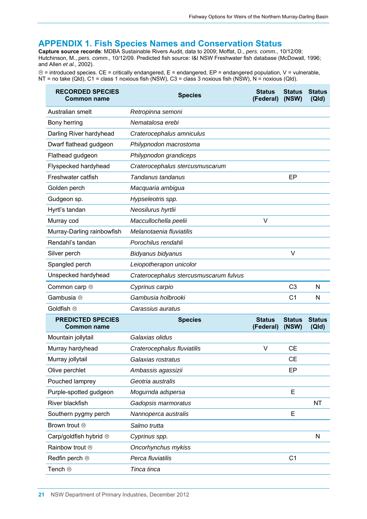### **APPENDIX 1. Fish Species Names and Conservation Status**

<span id="page-27-0"></span>**Capture source records**: MDBA Sustainable Rivers Audit, data to 2009; Moffat, D., *pers. comm*., 10/12/09; Hutchinson, M., *pers. comm*., 10/12/09. Predicted fish source: I&I NSW Freshwater fish database (McDowall, 1996; and Allen *et al.*, 2002).

 $\circledcirc$  = introduced species. CE = critically endangered, E = endangered, EP = endangered population, V = vulnerable, NT = no take (Qld), C1 = class 1 noxious fish (NSW), C3 = class 3 noxious fish (NSW), N = noxious (Qld).

| <b>RECORDED SPECIES</b><br><b>Common name</b>  | <b>Species</b>                         | <b>Status</b><br>(Federal) | <b>Status</b><br>(NSW) | <b>Status</b><br>(QId) |
|------------------------------------------------|----------------------------------------|----------------------------|------------------------|------------------------|
| Australian smelt                               | Retropinna semoni                      |                            |                        |                        |
| Bony herring                                   | Nematalosa erebi                       |                            |                        |                        |
| Darling River hardyhead                        | Craterocephalus amniculus              |                            |                        |                        |
| Dwarf flathead gudgeon                         | Philypnodon macrostoma                 |                            |                        |                        |
| Flathead gudgeon                               | Philypnodon grandiceps                 |                            |                        |                        |
| Flyspecked hardyhead                           | Craterocephalus stercusmuscarum        |                            |                        |                        |
| Freshwater catfish                             | Tandanus tandanus                      |                            | EP                     |                        |
| Golden perch                                   | Macquaria ambigua                      |                            |                        |                        |
| Gudgeon sp.                                    | Hypseleotris spp.                      |                            |                        |                        |
| Hyrtl's tandan                                 | Neosilurus hyrtlii                     |                            |                        |                        |
| Murray cod                                     | Maccullochella peelii                  | V                          |                        |                        |
| Murray-Darling rainbowfish                     | Melanotaenia fluviatilis               |                            |                        |                        |
| Rendahl's tandan                               | Porochilus rendahli                    |                            |                        |                        |
| Silver perch                                   | Bidyanus bidyanus                      |                            | $\vee$                 |                        |
| Spangled perch                                 | Leiopotherapon unicolor                |                            |                        |                        |
| Unspecked hardyhead                            | Craterocephalus stercusmuscarum fulvus |                            |                        |                        |
| Common carp <sup>®</sup>                       | Cyprinus carpio                        |                            | C <sub>3</sub>         | N                      |
| Gambusia <sup>⊗</sup>                          | Gambusia holbrooki                     |                            | C <sub>1</sub>         | N                      |
| Goldfish ®                                     | Carassius auratus                      |                            |                        |                        |
| <b>PREDICTED SPECIES</b><br><b>Common name</b> | <b>Species</b>                         | <b>Status</b><br>(Federal) | <b>Status</b><br>(NSW) | <b>Status</b><br>(QId) |
| Mountain jollytail                             | Galaxias olidus                        |                            |                        |                        |
| Murray hardyhead                               | Craterocephalus fluviatilis            | V                          | <b>CE</b>              |                        |
| Murray jollytail                               | Galaxias rostratus                     |                            | <b>CE</b>              |                        |
| Olive perchlet                                 | Ambassis agassizii                     |                            | EP                     |                        |
| Pouched lamprey                                | Geotria australis                      |                            |                        |                        |
| Purple-spotted gudgeon                         | Mogurnda adspersa                      |                            | E                      |                        |
| <b>River blackfish</b>                         | Gadopsis marmoratus                    |                            |                        | <b>NT</b>              |
| Southern pygmy perch                           | Nannoperca australis                   |                            | E                      |                        |
| Brown trout <sup>®</sup>                       | Salmo trutta                           |                            |                        |                        |
| Carp/goldfish hybrid ®                         | Cyprinus spp.                          |                            |                        | N                      |
| Rainbow trout <sup>®</sup>                     | Oncorhynchus mykiss                    |                            |                        |                        |
| Redfin perch <sup>®</sup>                      | Perca fluviatilis                      |                            | C <sub>1</sub>         |                        |
| Tench <sup>®</sup>                             | Tinca tinca                            |                            |                        |                        |